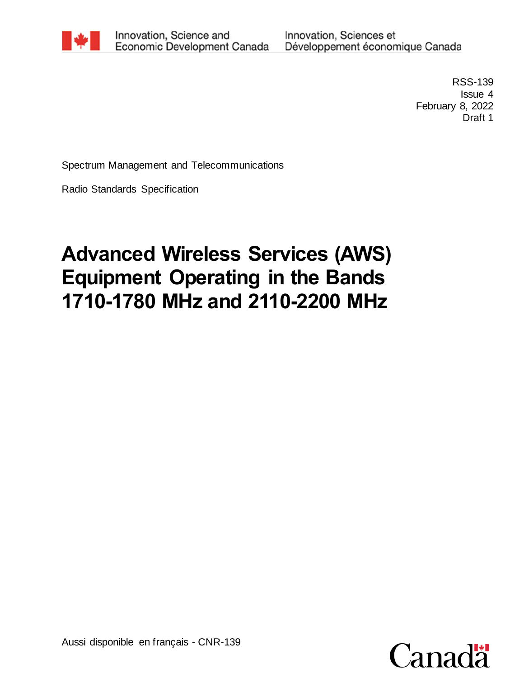

Innovation, Science and Economic Development Canada Innovation, Sciences et Développement économique Canada

> RSS-139 Issue 4 February 8, 2022 Draft 1

Spectrum Management and Telecommunications

Radio Standards Specification

# **Advanced Wireless Services (AWS) Equipment Operating in the Bands 1710-1780 MHz and 2110-2200 MHz**

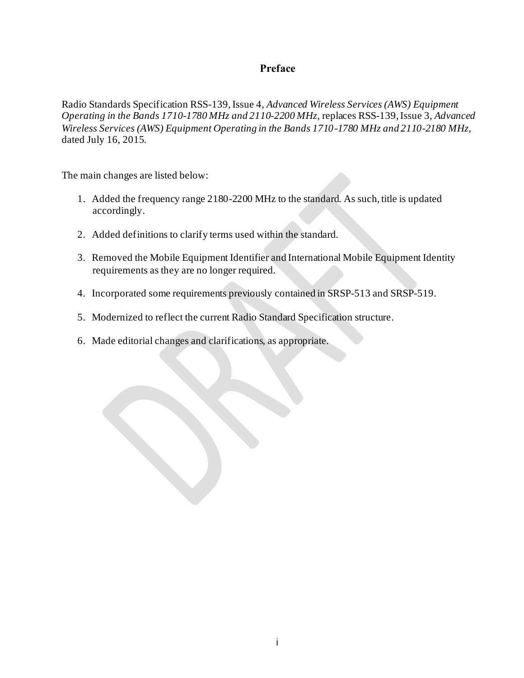### **Preface**

Radio Standards Specification RSS-139, Issue 4, *Advanced Wireless Services (AWS) Equipment Operating in the Bands 1710-1780 MHz and 2110-2200 MHz,* replaces RSS-139*,* Issue 3, *Advanced Wireless Services (AWS) Equipment Operating in the Bands 1710-1780 MHz and 2110-2180 MHz*, dated July 16, 2015.

The main changes are listed below:

- 1. Added the frequency range 2180-2200 MHz to the standard. As such, title is updated accordingly.
- 2. Added definitions to clarify terms used within the standard.
- 3. Removed the Mobile Equipment Identifier and International Mobile Equipment Identity requirements as they are no longer required.
- 4. Incorporated some requirements previously contained in SRSP-513 and SRSP-519.
- 5. Modernized to reflect the current Radio Standard Specification structure.
- 6. Made editorial changes and clarifications, as appropriate.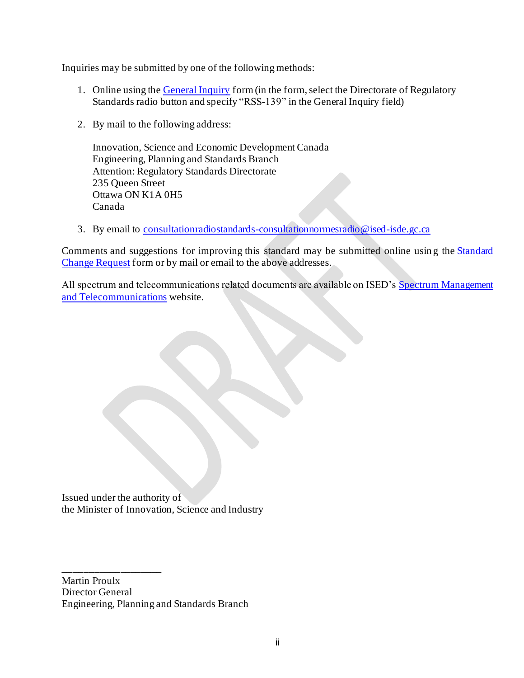Inquiries may be submitted by one of the following methods:

- 1. Online using the [General Inquiry](http://www.ic.gc.ca/eic/site/ceb-bhst.nsf/frm-eng/EABV-9X4GEH) form (in the form, select the Directorate of Regulatory Standards radio button and specify "RSS-139" in the General Inquiry field)
- 2. By mail to the following address:

Innovation, Science and Economic Development Canada Engineering, Planning and Standards Branch Attention: Regulatory Standards Directorate 235 Queen Street Ottawa ON K1A 0H5 Canada

3. By email to [consultationradiostandards-consultationnormesradio@ised-isde.gc.ca](mailto:consultationradiostandards-consultationnormesradio@ised-isde.gc.ca)

Comments and suggestions for improving this standard may be submitted online usin g the [Standard](http://www.ic.gc.ca/eic/site/ceb-bhst.nsf/frm-eng/EABV-9VCLQJ)  [Change Request](http://www.ic.gc.ca/eic/site/ceb-bhst.nsf/frm-eng/EABV-9VCLQJ) form or by mail or email to the above addresses.

All spectrum and telecommunications related documents are available on ISED's Spectrum Management [and Telecommunications](https://www.ic.gc.ca/eic/site/smt-gst.nsf/eng/home) website.

Issued under the authority of the Minister of Innovation, Science and Industry

Martin Proulx Director General Engineering, Planning and Standards Branch

\_\_\_\_\_\_\_\_\_\_\_\_\_\_\_\_\_\_\_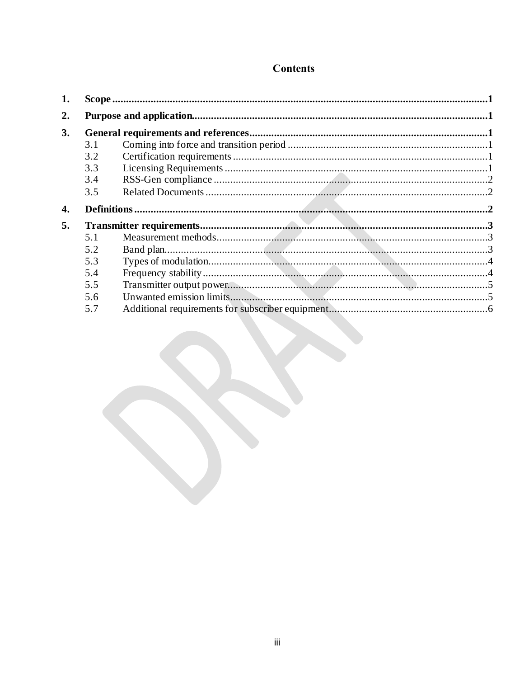## **Contents**

| 2. |     |  |  |
|----|-----|--|--|
| 3. |     |  |  |
|    | 3.1 |  |  |
|    | 3.2 |  |  |
|    | 3.3 |  |  |
|    | 3.4 |  |  |
|    | 3.5 |  |  |
| 4. |     |  |  |
| 5. |     |  |  |
|    | 5.1 |  |  |
|    | 5.2 |  |  |
|    | 5.3 |  |  |
|    | 5.4 |  |  |
|    | 5.5 |  |  |
|    | 5.6 |  |  |
|    | 5.7 |  |  |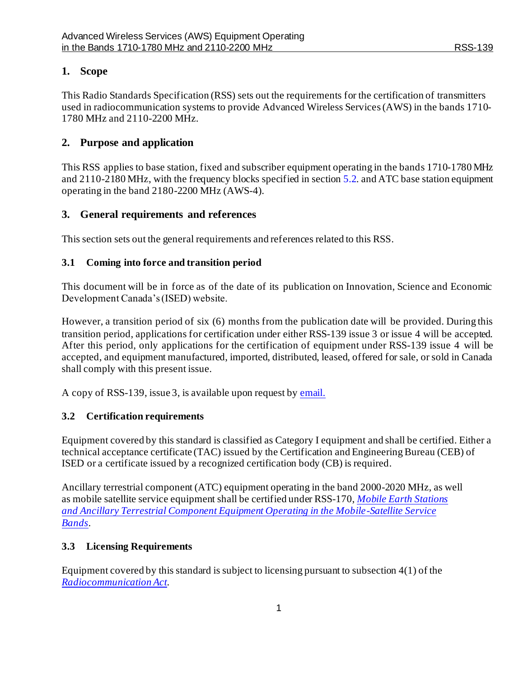### <span id="page-4-0"></span>**1. Scope**

This Radio Standards Specification (RSS) sets out the requirements for the certification of transmitters used in radiocommunication systems to provide Advanced Wireless Services(AWS) in the bands 1710- 1780 MHz and 2110-2200 MHz.

#### <span id="page-4-1"></span>**2. Purpose and application**

This RSS applies to base station, fixed and subscriber equipment operating in the bands 1710-1780 MHz and 2110-2180 MHz, with the frequency blocks specified in sectio[n 5.2](#page-6-2). and ATC base station equipment operating in the band 2180-2200 MHz (AWS-4).

#### <span id="page-4-2"></span>**3. General requirements and references**

This section sets out the general requirements and references related to this RSS.

#### <span id="page-4-3"></span>**3.1 Coming into force and transition period**

This document will be in force as of the date of its publication on Innovation, Science and Economic Development Canada's (ISED) website.

However, a transition period of six (6) months from the publication date will be provided. During this transition period, applications for certification under either RSS-139 issue 3 or issue 4 will be accepted. After this period, only applications for the certification of equipment under RSS-139 issue 4 will be accepted, and equipment manufactured, imported, distributed, leased, offered for sale, or sold in Canada shall comply with this present issue.

A copy of RSS-139, issue 3, is available upon request b[y email](mailto:consultationradiostandards-consultationnormesradio@ised-isde.gc.ca).

#### <span id="page-4-4"></span>**3.2 Certification requirements**

Equipment covered by this standard is classified as Category I equipment and shall be certified. Either a technical acceptance certificate (TAC) issued by the Certification and Engineering Bureau (CEB) of ISED or a certificate issued by a recognized certification body (CB) is required.

Ancillary terrestrial component (ATC) equipment operating in the band 2000-2020 MHz, as well as mobile satellite service equipment shall be certified under RSS-170, *[Mobile Earth Stations](http://www.ic.gc.ca/eic/site/smt-gst.nsf/eng/sf01767.html)  [and Ancillary Terrestrial Component Equipment Operating in the Mobile-Satellite](http://www.ic.gc.ca/eic/site/smt-gst.nsf/eng/sf01767.html) Service [Bands](http://www.ic.gc.ca/eic/site/smt-gst.nsf/eng/sf01767.html)*.

#### <span id="page-4-5"></span>**3.3 Licensing Requirements**

Equipment covered by this standard is subject to licensing pursuant to subsection 4(1) of the *[Radiocommunication Act.](http://laws.justice.gc.ca/eng/acts/R-2/)*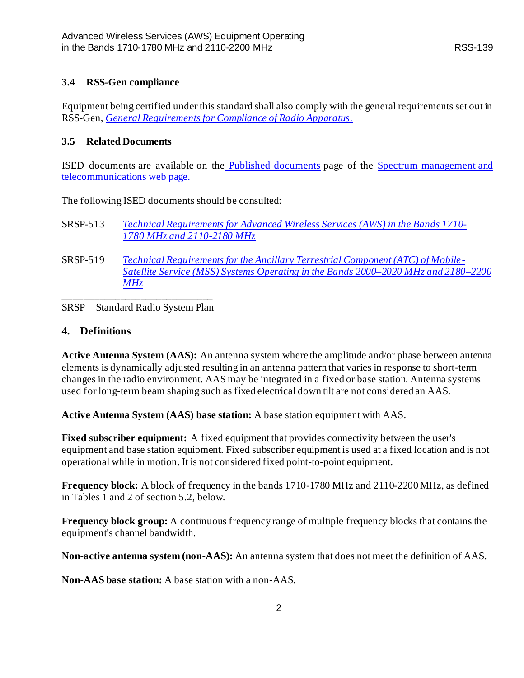#### <span id="page-5-0"></span>**3.4 RSS-Gen compliance**

Equipment being certified under this standard shall also comply with the general requirements set out in RSS-Gen, *[General Requirements for Compliance of Radio Apparatus](http://www.ic.gc.ca/eic/site/smt-gst.nsf/eng/sf08449.html).*

#### <span id="page-5-1"></span>**3.5 Related Documents**

ISED documents are available on the [Published documents](http://www.ic.gc.ca/eic/site/smt-gst.nsf/eng/h_sf10780.html) page of the [Spectrum management and](https://www.ic.gc.ca/eic/site/smt-gst.nsf/eng/home)  [telecommunications](https://www.ic.gc.ca/eic/site/smt-gst.nsf/eng/home) web page.

The following ISED documents should be consulted:

- SRSP-513 *[Technical Requirements for Advanced Wireless Services](https://www.ic.gc.ca/eic/site/smt-gst.nsf/eng/sf08884.html) (AWS) in the Bands 1710- 1780 [MHz and 2110-2180](https://www.ic.gc.ca/eic/site/smt-gst.nsf/eng/sf08884.html) MHz*
- SRSP-519 *[Technical Requirements for the Ancillary Terrestrial Component \(ATC\) of Mobile-](https://www.ic.gc.ca/eic/site/smt-gst.nsf/eng/sf10977.html)[Satellite Service \(MSS\) Systems Operating in the Bands 2000–2020 MHz and 2180–2200](https://www.ic.gc.ca/eic/site/smt-gst.nsf/eng/sf10977.html)  [MHz](https://www.ic.gc.ca/eic/site/smt-gst.nsf/eng/sf10977.html)*

\_\_\_\_\_\_\_\_\_\_\_\_\_\_\_\_\_\_\_\_\_\_\_\_\_\_\_\_\_ SRSP – Standard Radio System Plan

#### <span id="page-5-2"></span>**4. Definitions**

**Active Antenna System (AAS):** An antenna system where the amplitude and/or phase between antenna elements is dynamically adjusted resulting in an antenna pattern that varies in response to short-term changes in the radio environment. AAS may be integrated in a fixed or base station. Antenna systems used for long-term beam shaping such as fixed electrical down tilt are not considered an AAS.

**Active Antenna System (AAS) base station:** A base station equipment with AAS.

**Fixed subscriber equipment:** A fixed equipment that provides connectivity between the user's equipment and base station equipment. Fixed subscriber equipment is used at a fixed location and is not operational while in motion. It is not considered fixed point-to-point equipment.

**Frequency block:** A block of frequency in the bands 1710-1780 MHz and 2110-2200 MHz, as defined in Tables 1 and 2 of section 5.2, below.

**Frequency block group:** A continuous frequency range of multiple frequency blocks that contains the equipment's channel bandwidth.

**Non-active antenna system (non-AAS):** An antenna system that does not meet the definition of AAS.

**Non-AAS base station:** A base station with a non-AAS.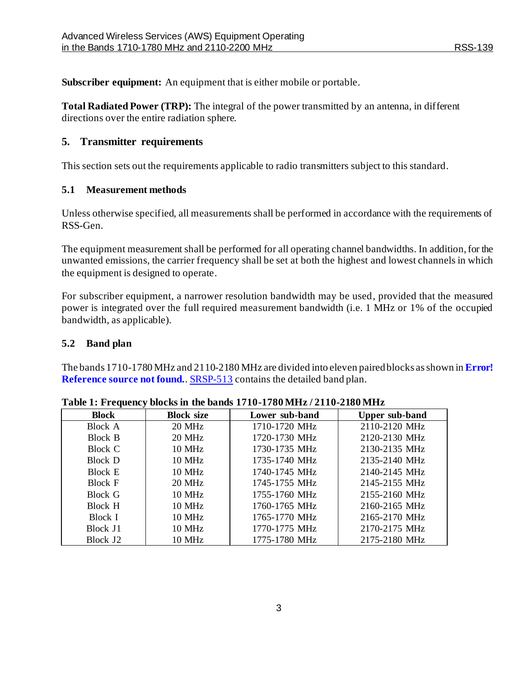**Subscriber equipment:** An equipment that is either mobile or portable.

**Total Radiated Power (TRP):** The integral of the power transmitted by an antenna, in different directions over the entire radiation sphere.

### <span id="page-6-0"></span>**5. Transmitter requirements**

This section sets out the requirements applicable to radio transmitters subject to this standard.

#### <span id="page-6-1"></span>**5.1 Measurement methods**

Unless otherwise specified, all measurements shall be performed in accordance with the requirements of RSS-Gen.

The equipment measurement shall be performed for all operating channel bandwidths. In addition, for the unwanted emissions, the carrier frequency shall be set at both the highest and lowest channels in which the equipment is designed to operate.

For subscriber equipment, a narrower resolution bandwidth may be used, provided that the measured power is integrated over the full required measurement bandwidth (i.e. 1 MHz or 1% of the occupied bandwidth, as applicable).

#### <span id="page-6-2"></span>**5.2 Band plan**

The bands 1710-1780 MHz and 2110-2180 MHz are divided into eleven paired blocks asshown in **Error! Reference source not found.** SRSP-513 contains the detailed band plan.

| <b>Block</b>         | <b>Block size</b> | Lower sub-band | <b>Upper sub-band</b> |
|----------------------|-------------------|----------------|-----------------------|
| <b>Block A</b>       | <b>20 MHz</b>     | 1710-1720 MHz  | 2110-2120 MHz         |
| Block B              | 20 MHz            | 1720-1730 MHz  | 2120-2130 MHz         |
| Block C              | <b>10 MHz</b>     | 1730-1735 MHz  | 2130-2135 MHz         |
| <b>Block</b> D       | <b>10 MHz</b>     | 1735-1740 MHz  | 2135-2140 MHz         |
| <b>Block E</b>       | <b>10 MHz</b>     | 1740-1745 MHz  | 2140-2145 MHz         |
| <b>Block F</b>       | 20 MHz            | 1745-1755 MHz  | 2145-2155 MHz         |
| Block G              | <b>10 MHz</b>     | 1755-1760 MHz  | 2155-2160 MHz         |
| Block H              | 10 MHz            | 1760-1765 MHz  | 2160-2165 MHz         |
| Block I              | <b>10 MHz</b>     | 1765-1770 MHz  | 2165-2170 MHz         |
| Block J1             | <b>10 MHz</b>     | 1770-1775 MHz  | 2170-2175 MHz         |
| Block J <sub>2</sub> | <b>10 MHz</b>     | 1775-1780 MHz  | 2175-2180 MHz         |

**Table 1: Frequency blocks in the bands 1710-1780 MHz / 2110-2180 MHz**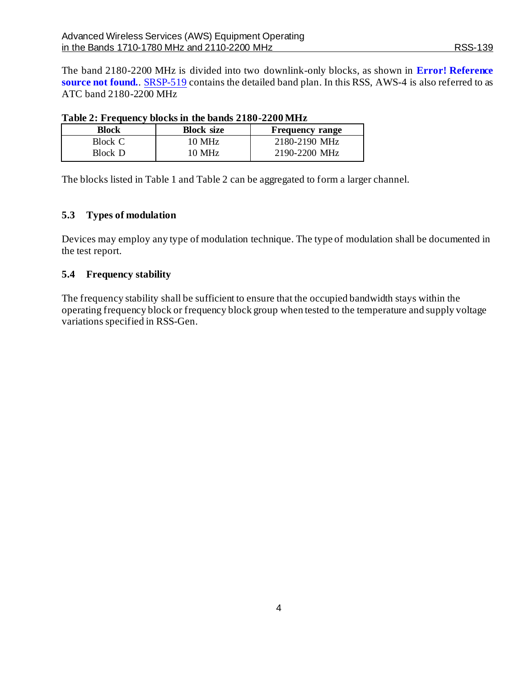The band 2180-2200 MHz is divided into two downlink-only blocks, as shown in **Error! Reference source not found.**. [SRSP-519](https://www.ic.gc.ca/eic/site/smt-gst.nsf/eng/sf10977.html) contains the detailed band plan. In this RSS, AWS-4 is also referred to as ATC band 2180-2200 MHz

| Table 2. Prequency blocks in the bands $2100 - 2200$ mills |                   |                        |  |
|------------------------------------------------------------|-------------------|------------------------|--|
| Block                                                      | <b>Block size</b> | <b>Frequency range</b> |  |
| Block C                                                    | 10 MHz            | 2180-2190 MHz          |  |
| Block D                                                    | 10 MHz            | 2190-2200 MHz          |  |

| Table 2: Frequency blocks in the bands 2180-2200 MHz |  |  |  |
|------------------------------------------------------|--|--|--|
|------------------------------------------------------|--|--|--|

The blocks listed in Table 1 and Table 2 can be aggregated to form a larger channel.

#### <span id="page-7-0"></span>**5.3 Types of modulation**

Devices may employ any type of modulation technique. The type of modulation shall be documented in the test report.

#### <span id="page-7-1"></span>**5.4 Frequency stability**

<span id="page-7-2"></span>The frequency stability shall be sufficient to ensure that the occupied bandwidth stays within the operating frequency block or frequency block group when tested to the temperature and supply voltage variations specified in RSS-Gen.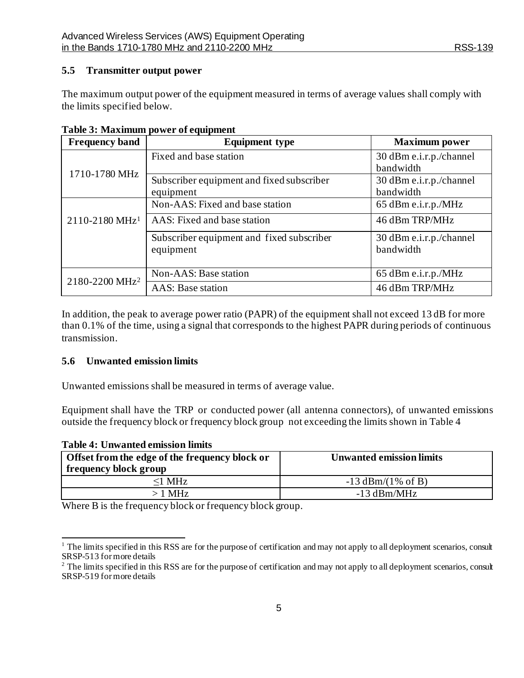#### **5.5 Transmitter output power**

The maximum output power of the equipment measured in terms of average values shall comply with the limits specified below.

| <b>Frequency band</b>      | <b>Equipment type</b>                                  | <b>Maximum</b> power                 |
|----------------------------|--------------------------------------------------------|--------------------------------------|
|                            | Fixed and base station                                 | 30 dBm e.i.r.p./channel<br>bandwidth |
| 1710-1780 MHz              | Subscriber equipment and fixed subscriber<br>equipment | 30 dBm e.i.r.p./channel<br>bandwidth |
|                            | Non-AAS: Fixed and base station                        | 65 dBm e.i.r.p./MHz                  |
| 2110-2180 MHz <sup>1</sup> | AAS: Fixed and base station                            | 46 dBm TRP/MHz                       |
|                            | Subscriber equipment and fixed subscriber<br>equipment | 30 dBm e.i.r.p./channel<br>bandwidth |
| 2180-2200 MHz <sup>2</sup> | Non-AAS: Base station                                  | 65 dBm e.i.r.p./MHz                  |
|                            | <b>AAS:</b> Base station                               | 46 dBm TRP/MHz                       |

**Table 3: Maximum power of equipment**

In addition, the peak to average power ratio (PAPR) of the equipment shall not exceed 13 dB for more than 0.1% of the time, using a signal that corresponds to the highest PAPR during periods of continuous transmission.

#### <span id="page-8-0"></span>**5.6 Unwanted emission limits**

Unwanted emissions shall be measured in terms of average value.

Equipment shall have the TRP or conducted power (all antenna connectors), of unwanted emissions outside the frequency block or frequency block group not exceeding the limits shown in Table 4

| <b>Table 4: Unwanted emission limits</b>                                |                                 |  |
|-------------------------------------------------------------------------|---------------------------------|--|
| Offset from the edge of the frequency block or<br>frequency block group | <b>Unwanted emission limits</b> |  |
| $\leq$ 1 MHz                                                            | $-13$ dBm/(1% of B)             |  |
| $>1$ MHz                                                                | $-13$ dBm/MHz                   |  |

Where B is the frequency block or frequency block group.

 $1$  The limits specified in this RSS are for the purpose of certification and may not apply to all deployment scenarios, consult SRSP-513 for more details

<sup>&</sup>lt;sup>2</sup> The limits specified in this RSS are for the purpose of certification and may not apply to all deployment scenarios, consult SRSP-519 for more details